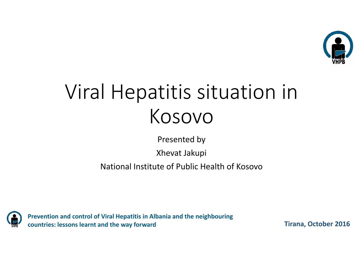

## Viral Hepatitis situation in Kosovo

Presented by

Xhevat Jakupi

National Institute of Public Health of Kosovo



**Prevention and control of Viral Hepatitis in Albania and the neighbouring countries: lessons learnt and the way forward**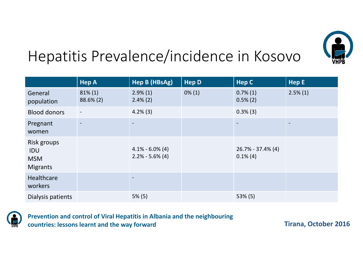

## Hepatitis Prevalence/incidence in Kosovo

|                                                     | <b>Hep A</b>               | Hep B (HBsAg)                              | <b>Hep D</b> | <b>Hep C</b>                         | HepE                     |
|-----------------------------------------------------|----------------------------|--------------------------------------------|--------------|--------------------------------------|--------------------------|
| General<br>population                               | $81\% (1)$<br>$88.6\% (2)$ | $2.9\%(1)$<br>$2.4\%$ (2)                  | $0\%$ (1)    | $0.7\%(1)$<br>$0.5\%$ (2)            | $2.5\%(1)$               |
| <b>Blood donors</b>                                 | $\overline{\phantom{a}}$   | $4.2\%$ (3)                                |              | $0.3\%$ (3)                          |                          |
| Pregnant<br>women                                   | $\overline{\phantom{a}}$   | $\overline{\phantom{0}}$                   |              | $\overline{\phantom{a}}$             | $\overline{\phantom{a}}$ |
| Risk groups<br>IDU<br><b>MSM</b><br><b>Migrants</b> |                            | $4.1\% - 6.0\% (4)$<br>$2.2\% - 5.6\% (4)$ |              | $26.7\% - 37.4\%$ (4)<br>$0.1\%$ (4) |                          |
| <b>Healthcare</b><br>workers                        |                            |                                            |              |                                      |                          |
| Dialysis patients                                   |                            | $5\%$ (5)                                  |              | $53\%$ (5)                           |                          |



**Prevention and control of Viral Hepatitis in Albania and the neighbouring countries: lessons learnt and the way forward**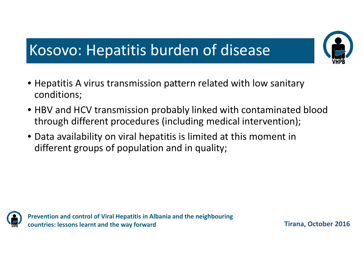## Kosovo: Hepatitis burden of disease

- Hepatitis A virus transmission pattern related with low sanitary conditions;
- HBV and HCV transmission probably linked with contaminated blood through different procedures (including medical intervention);
- Data availability on viral hepatitis is limited at this moment in different groups of population and in quality;



**Prevention and control of Viral Hepatitis in Albania and the neighbouring countries: lessons learnt and the way forward**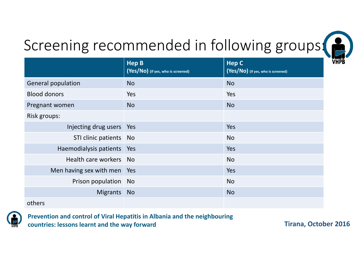

# Screening recommended in following groups: (2)

|                             | <b>Hep B</b><br>(Yes/NO) (if yes, who is screened) | <b>Hep C</b><br>(Yes/NO) (if yes, who is screened) |
|-----------------------------|----------------------------------------------------|----------------------------------------------------|
| <b>General population</b>   | <b>No</b>                                          | <b>No</b>                                          |
| <b>Blood donors</b>         | Yes                                                | Yes                                                |
| Pregnant women              | <b>No</b>                                          | <b>No</b>                                          |
| Risk groups:                |                                                    |                                                    |
| Injecting drug users   Yes  |                                                    | Yes                                                |
| STI clinic patients No      |                                                    | <b>No</b>                                          |
| Haemodialysis patients Yes  |                                                    | Yes                                                |
| Health care workers No      |                                                    | <b>No</b>                                          |
| Men having sex with men Yes |                                                    | <b>Yes</b>                                         |
| Prison population No        |                                                    | <b>No</b>                                          |
| Migrants No                 |                                                    | <b>No</b>                                          |
| others                      |                                                    |                                                    |



**Prevention and control of Viral Hepatitis in Albania and the neighbouring countries: lessons learnt and the way forward**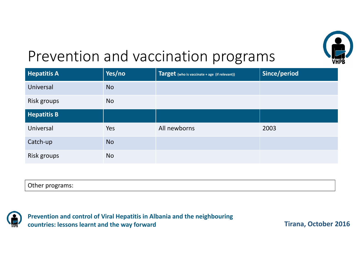

## Prevention and vaccination programs

| <b>Hepatitis A</b> | Yes/no    | Target (who is vaccinate + age (if relevant)) | Since/period |
|--------------------|-----------|-----------------------------------------------|--------------|
| Universal          | <b>No</b> |                                               |              |
| Risk groups        | <b>No</b> |                                               |              |
| <b>Hepatitis B</b> |           |                                               |              |
| Universal          | Yes       | All newborns                                  | 2003         |
| Catch-up           | <b>No</b> |                                               |              |
| Risk groups        | <b>No</b> |                                               |              |

| Other programs:<br>. . |  |
|------------------------|--|



**Prevention and control of Viral Hepatitis in Albania and the neighbouring countries: lessons learnt and the way forward**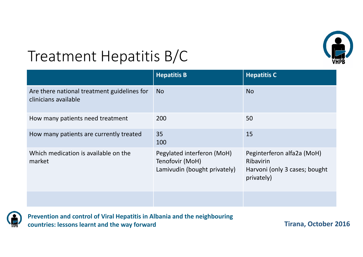

## Treatment Hepatitis B/C

|                                                                     | <b>Hepatitis B</b>                                                            | <b>Hepatitis C</b>                                                                            |
|---------------------------------------------------------------------|-------------------------------------------------------------------------------|-----------------------------------------------------------------------------------------------|
| Are there national treatment guidelines for<br>clinicians available | No                                                                            | <b>No</b>                                                                                     |
| How many patients need treatment                                    | 200                                                                           | 50                                                                                            |
| How many patients are currently treated                             | 35<br>100                                                                     | 15                                                                                            |
| Which medication is available on the<br>market                      | Pegylated interferon (MoH)<br>Tenofovir (MoH)<br>Lamivudin (bought privately) | Peginterferon alfa2a (MoH)<br><b>Ribavirin</b><br>Harvoni (only 3 cases; bought<br>privately) |
|                                                                     |                                                                               |                                                                                               |



**Prevention and control of Viral Hepatitis in Albania and the neighbouring countries: lessons learnt and the way forward**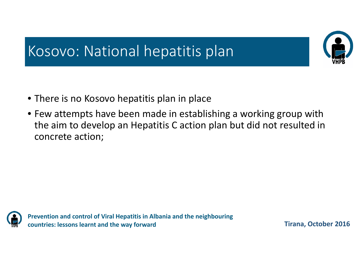

## Kosovo: National hepatitis plan

- There is no Kosovo hepatitis plan in place
- Few attempts have been made in establishing <sup>a</sup> working group with the aim to develop an Hepatitis C action plan but did not resulted in concrete action;



**Prevention and control of Viral Hepatitis in Albania and the neighbouring countries: lessons learnt and the way forward**